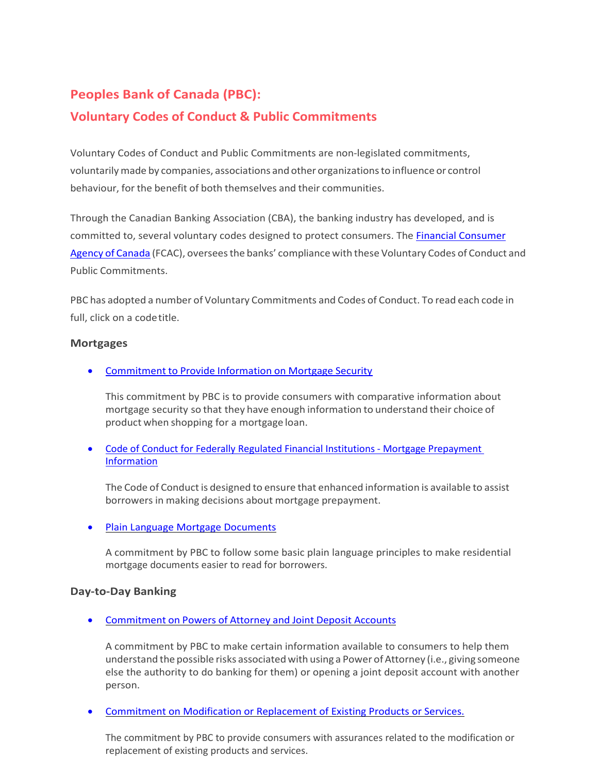# **Peoples Bank of Canada (PBC):**

# **Voluntary Codes of Conduct & Public Commitments**

Voluntary Codes of Conduct and Public Commitments are non-legislated commitments, voluntarilymade by companies, associations and other organizationsto influence or control behaviour, for the benefit of both themselves and their communities.

Through the Canadian Banking Association (CBA), the banking industry has developed, and is committed to, several voluntary codes designed to protect consumers. The [Financial Consumer](https://www.canada.ca/en/financial-consumer-agency.html) Agency of [Canada](https://www.canada.ca/en/financial-consumer-agency.html) (FCAC), overseesthe banks' compliance with these Voluntary Codes of Conduct and Public Commitments.

PBC has adopted a number of Voluntary Commitments and Codes of Conduct. To read each code in full, click on a code title.

### **Mortgages**

• [Commitment](https://cba.ca/Assets/CBA/Documents/Files/Article%20Category/PDF/vol-mortgage-security-en.pdf) to Provide Information on Mortgage Security

This commitment by PBC is to provide consumers with comparative information about mortgage security so that they have enough information to understand their choice of product when shopping for a mortgage loan.

• [Code of Conduct for Federally Regulated Financial Institutions -](https://cba.ca/Assets/CBA/Documents/Files/Article%20Category/PDF/vol_20120304_mopp_en.pdf) Mortgage Prepaymen[t](https://cba.ca/Assets/CBA/Documents/Files/Article%20Category/PDF/vol_20120304_mopp_en.pdf) [Information](https://cba.ca/Assets/CBA/Documents/Files/Article%20Category/PDF/vol_20120304_mopp_en.pdf)

The Code of Conduct is designed to ensure that enhanced information is available to assist borrowers in making decisions about mortgage prepayment.

• [Plain Language Mortgage Documents](https://cba.ca/Assets/CBA/Documents/Files/Article%20Category/PDF/vol_20040929_plainlanguagemortgagedocument_en.pdf)

A commitment by PBC to follow some basic plain language principles to make residential mortgage documents easier to read for borrowers.

## **Day-to-Day Banking**

• [Commitment](https://www.cba.ca/Assets/CBA/Documents/Files/Article%20Category/PDF/vol-poa-joint-account-en.pdf) on Powers of Attorney and Joint Deposit Accounts

A commitment by PBC to make certain information available to consumers to help them understand the possible risks associated with using a Power of Attorney (i.e., giving someone else the authority to do banking for them) or opening a joint deposit account with another person.

• [Commitment on Modification or Replacement of Existing Products or Services.](https://cba.ca/Assets/CBA/Documents/Files/Article%20Category/PDF/vol_20120801_morps_en.pdf)

The commitment by PBC to provide consumers with assurances related to the modification or replacement of existing products and services.